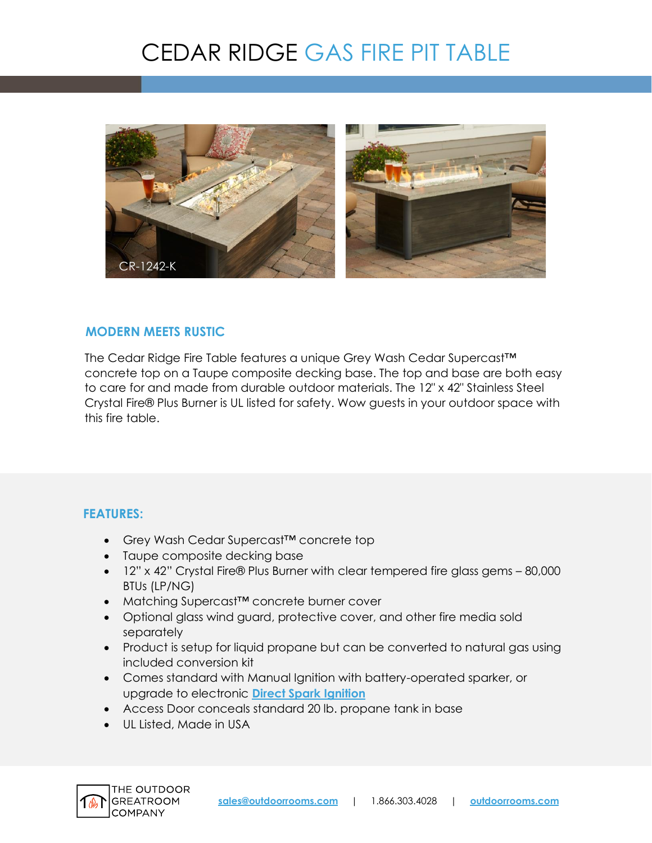# CEDAR RIDGE GAS FIRE PIT TABLE



#### **MODERN MEETS RUSTIC**

The Cedar Ridge Fire Table features a unique Grey Wash Cedar Supercast™ concrete top on a Taupe composite decking base. The top and base are both easy to care for and made from durable outdoor materials. The 12" x 42" Stainless Steel Crystal Fire® Plus Burner is UL listed for safety. Wow guests in your outdoor space with this fire table.

### **FEATURES:**

- Grey Wash Cedar Supercast™ concrete top
- Taupe composite decking base
- 12" x 42" Crystal Fire® Plus Burner with clear tempered fire glass gems 80,000 BTUs (LP/NG)
- Matching Supercast™ concrete burner cover
- Optional glass wind guard, protective cover, and other fire media sold separately
- Product is setup for liquid propane but can be converted to natural gas using included conversion kit
- Comes standard with Manual Ignition with battery-operated sparker, or upgrade to electronic **[Direct Spark Ignition](https://www.outdoorrooms.com/sites/default/files/files/direct-spark-ignition-info-sheet.pdf)**
- Access Door conceals standard 20 lb. propane tank in base
- UL Listed, Made in USA